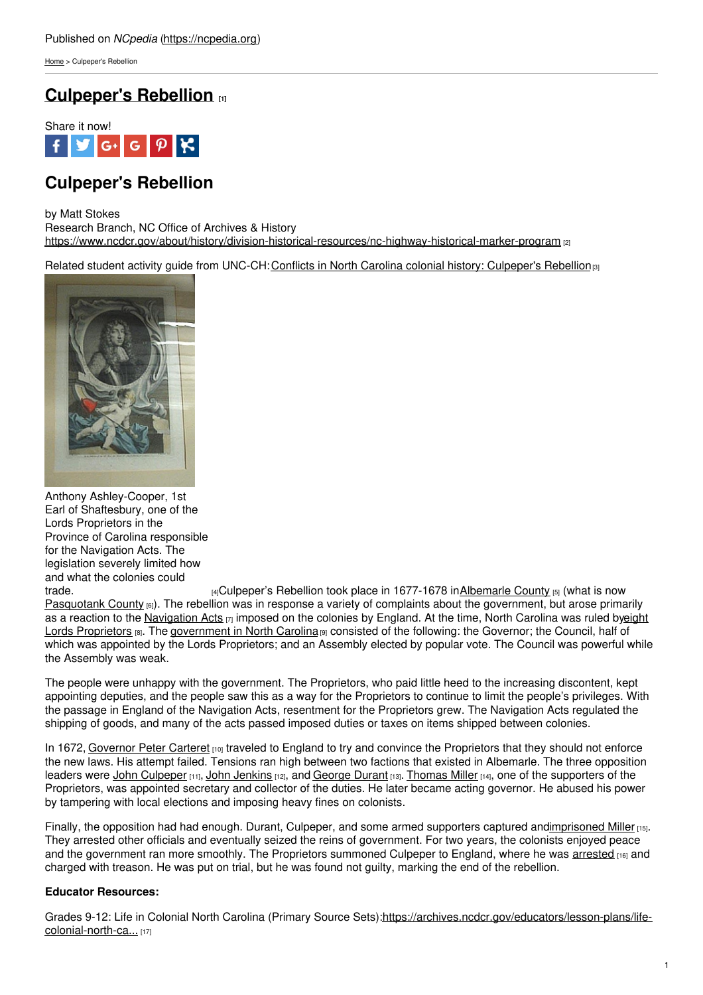[Home](https://ncpedia.org/) > Culpeper's Rebellion

## **[Culpeper's](https://ncpedia.org/culpepers-rebellion-0) Rebellion [1]**



# **Culpeper's Rebellion**

by Matt Stokes

Research Branch, NC Office of Archives & History <https://www.ncdcr.gov/about/history/division-historical-resources/nc-highway-historical-marker-program> [2]

Related student activity guide from UNC-CH: Conflicts in North Carolina colonial history: [Culpeper's](https://docsouth.unc.edu/classroom/lessonplans/csr/conflicts2.html) Rebellion<sub>[3]</sub>



Anthony Ashley-Cooper, 1st Earl of Shaftesbury, one of the Lords Proprietors in the Province of Carolina responsible for the Navigation Acts. The legislation severely limited how and what the colonies could<br>trade.

 $H_4C$ ulpeper's Rebellion took place in 1677-1678 i[nAlbemarle](https://ncpedia.org/albemarle-county) County  $H_5$  (what is now [Pasquotank](https://ncpedia.org/geography/pasquotank) County (6). The rebellion was in response a variety of complaints about the government, but arose primarily as a reaction to the [Navigation](https://ncpedia.org/lords-proprietors) Acts  $\eta$  imposed on the colonies by England. At the time, North Carolina was ruled byeight Lords Proprietors [8]. The [government](https://www.ncdcr.gov/blog/2016/07/25/north-carolina-became-royal-colony) in North Carolina [9] consisted of the following: the Governor; the Council, half of which was appointed by the Lords Proprietors; and an Assembly elected by popular vote. The Council was powerful while the Assembly was weak.

The people were unhappy with the government. The Proprietors, who paid little heed to the increasing discontent, kept appointing deputies, and the people saw this as a way for the Proprietors to continue to limit the people's privileges. With the passage in England of the Navigation Acts, resentment for the Proprietors grew. The Navigation Acts regulated the shipping of goods, and many of the acts passed imposed duties or taxes on items shipped between colonies.

In 1672, [Governor](https://ncpedia.org/carteret-peter) Peter Carteret [10] traveled to England to try and convince the Proprietors that they should not enforce the new laws. His attempt failed. Tensions ran high between two factions that existed in Albemarle. The three opposition leaders were John [Culpeper](https://docsouth.unc.edu/csr/index.html/document/csr01-0081) [11], John [Jenkins](https://ncpedia.org/biography/jenkins-john) [12], and [George](http://digital.lib.ecu.edu/historyfiction/viewer.aspx?id=wos&p=3) Durant [13]. [Thomas](https://ncpedia.org/miller-thomas) Miller [14], one of the supporters of the Proprietors, was appointed secretary and collector of the duties. He later became acting governor. He abused his power by tampering with local elections and imposing heavy fines on colonists.

Finally, the opposition had had enough. Durant, Culpeper, and some armed supporters captured an[dimprisoned](https://docsouth.unc.edu/csr/index.html/document/csr01-0097) Miller [15]. They arrested other officials and eventually seized the reins of government. For two years, the colonists enjoyed peace and the government ran more smoothly. The Proprietors summoned Culpeper to England, where he was [arrested](https://docsouth.unc.edu/csr/index.html/document/csr01-0113) [16] and charged with treason. He was put on trial, but he was found not guilty, marking the end of the rebellion.

## **Educator Resources:**

Grades 9-12: Life in Colonial North Carolina (Primary Source [Sets\):https://archives.ncdcr.gov/educators/lesson-plans/life](https://archives.ncdcr.gov/educators/lesson-plans/life-colonial-north-carolina-primary-source-sets)colonial-north-ca... [17]